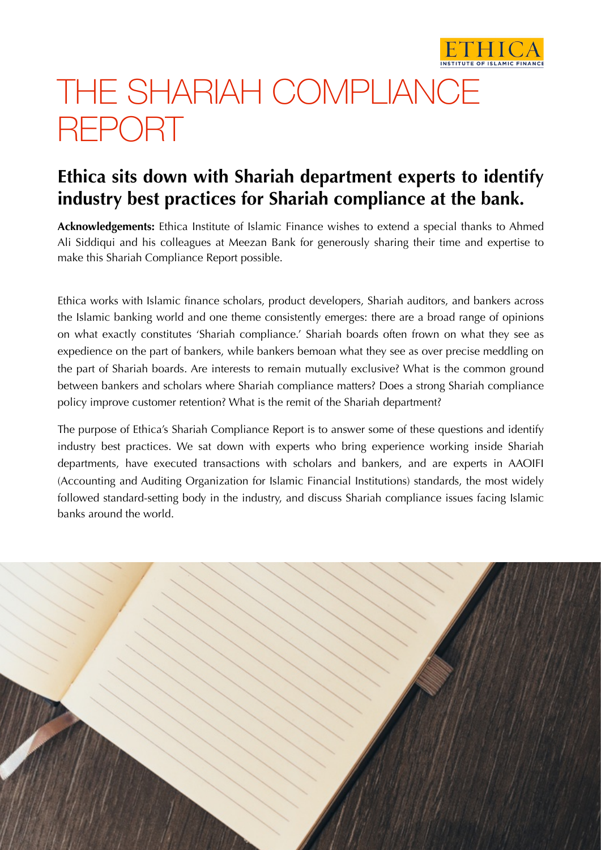

# THE SHARIAH COMPLIANCE REPORT

# **Ethica sits down with Shariah department experts to identify industry best practices for Shariah compliance at the bank.**

**Acknowledgements:** Ethica Institute of Islamic Finance wishes to extend a special thanks to Ahmed Ali Siddiqui and his colleagues at Meezan Bank for generously sharing their time and expertise to make this Shariah Compliance Report possible.

Ethica works with Islamic finance scholars, product developers, Shariah auditors, and bankers across the Islamic banking world and one theme consistently emerges: there are a broad range of opinions on what exactly constitutes 'Shariah compliance.' Shariah boards often frown on what they see as expedience on the part of bankers, while bankers bemoan what they see as over precise meddling on the part of Shariah boards. Are interests to remain mutually exclusive? What is the common ground between bankers and scholars where Shariah compliance matters? Does a strong Shariah compliance policy improve customer retention? What is the remit of the Shariah department?

The purpose of Ethica's Shariah Compliance Report is to answer some of these questions and identify industry best practices. We sat down with experts who bring experience working inside Shariah departments, have executed transactions with scholars and bankers, and are experts in AAOIFI (Accounting and Auditing Organization for Islamic Financial Institutions) standards, the most widely followed standard-setting body in the industry, and discuss Shariah compliance issues facing Islamic banks around the world.

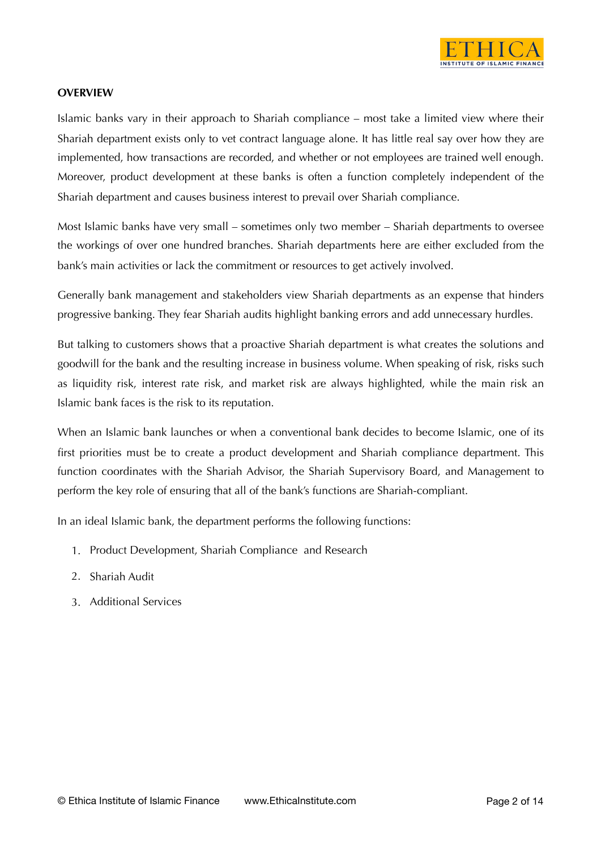

#### **OVERVIEW**

Islamic banks vary in their approach to Shariah compliance – most take a limited view where their Shariah department exists only to vet contract language alone. It has little real say over how they are implemented, how transactions are recorded, and whether or not employees are trained well enough. Moreover, product development at these banks is often a function completely independent of the Shariah department and causes business interest to prevail over Shariah compliance.

Most Islamic banks have very small – sometimes only two member – Shariah departments to oversee the workings of over one hundred branches. Shariah departments here are either excluded from the bank's main activities or lack the commitment or resources to get actively involved.

Generally bank management and stakeholders view Shariah departments as an expense that hinders progressive banking. They fear Shariah audits highlight banking errors and add unnecessary hurdles.

But talking to customers shows that a proactive Shariah department is what creates the solutions and goodwill for the bank and the resulting increase in business volume. When speaking of risk, risks such as liquidity risk, interest rate risk, and market risk are always highlighted, while the main risk an Islamic bank faces is the risk to its reputation.

When an Islamic bank launches or when a conventional bank decides to become Islamic, one of its first priorities must be to create a product development and Shariah compliance department. This function coordinates with the Shariah Advisor, the Shariah Supervisory Board, and Management to perform the key role of ensuring that all of the bank's functions are Shariah-compliant.

In an ideal Islamic bank, the department performs the following functions:

- 1. Product Development, Shariah Compliance and Research
- 2. Shariah Audit
- 3. Additional Services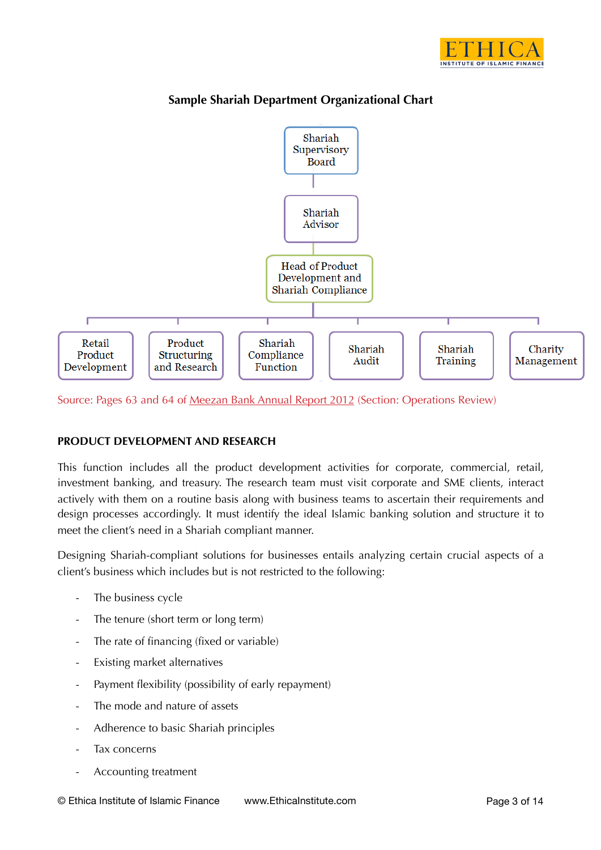



# **Sample Shariah Department Organizational Chart**

Source: Pages 63 and 64 of [Meezan Bank Annual Report 2012](http://www.meezanbank.com/docs/Annual_Report_2012.pdf) (Section: Operations Review)

# **PRODUCT DEVELOPMENT AND RESEARCH**

This function includes all the product development activities for corporate, commercial, retail, investment banking, and treasury. The research team must visit corporate and SME clients, interact actively with them on a routine basis along with business teams to ascertain their requirements and design processes accordingly. It must identify the ideal Islamic banking solution and structure it to meet the client's need in a Shariah compliant manner.

Designing Shariah-compliant solutions for businesses entails analyzing certain crucial aspects of a client's business which includes but is not restricted to the following:

- The business cycle
- The tenure (short term or long term)
- The rate of financing (fixed or variable)
- Existing market alternatives
- Payment flexibility (possibility of early repayment)
- The mode and nature of assets
- Adherence to basic Shariah principles
- Tax concerns
- Accounting treatment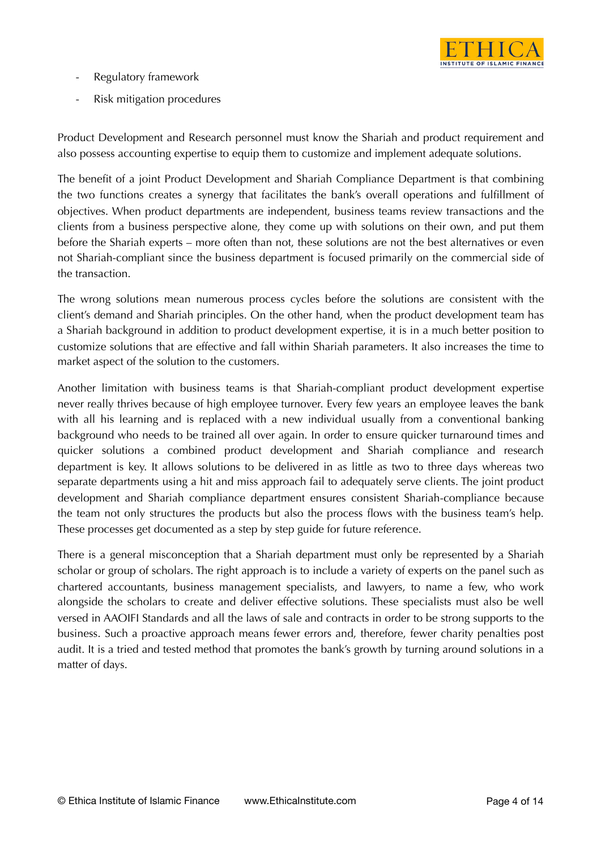

- Regulatory framework
- Risk mitigation procedures

Product Development and Research personnel must know the Shariah and product requirement and also possess accounting expertise to equip them to customize and implement adequate solutions.

The benefit of a joint Product Development and Shariah Compliance Department is that combining the two functions creates a synergy that facilitates the bank's overall operations and fulfillment of objectives. When product departments are independent, business teams review transactions and the clients from a business perspective alone, they come up with solutions on their own, and put them before the Shariah experts – more often than not, these solutions are not the best alternatives or even not Shariah-compliant since the business department is focused primarily on the commercial side of the transaction.

The wrong solutions mean numerous process cycles before the solutions are consistent with the client's demand and Shariah principles. On the other hand, when the product development team has a Shariah background in addition to product development expertise, it is in a much better position to customize solutions that are effective and fall within Shariah parameters. It also increases the time to market aspect of the solution to the customers.

Another limitation with business teams is that Shariah-compliant product development expertise never really thrives because of high employee turnover. Every few years an employee leaves the bank with all his learning and is replaced with a new individual usually from a conventional banking background who needs to be trained all over again. In order to ensure quicker turnaround times and quicker solutions a combined product development and Shariah compliance and research department is key. It allows solutions to be delivered in as little as two to three days whereas two separate departments using a hit and miss approach fail to adequately serve clients. The joint product development and Shariah compliance department ensures consistent Shariah-compliance because the team not only structures the products but also the process flows with the business team's help. These processes get documented as a step by step guide for future reference.

There is a general misconception that a Shariah department must only be represented by a Shariah scholar or group of scholars. The right approach is to include a variety of experts on the panel such as chartered accountants, business management specialists, and lawyers, to name a few, who work alongside the scholars to create and deliver effective solutions. These specialists must also be well versed in AAOIFI Standards and all the laws of sale and contracts in order to be strong supports to the business. Such a proactive approach means fewer errors and, therefore, fewer charity penalties post audit. It is a tried and tested method that promotes the bank's growth by turning around solutions in a matter of days.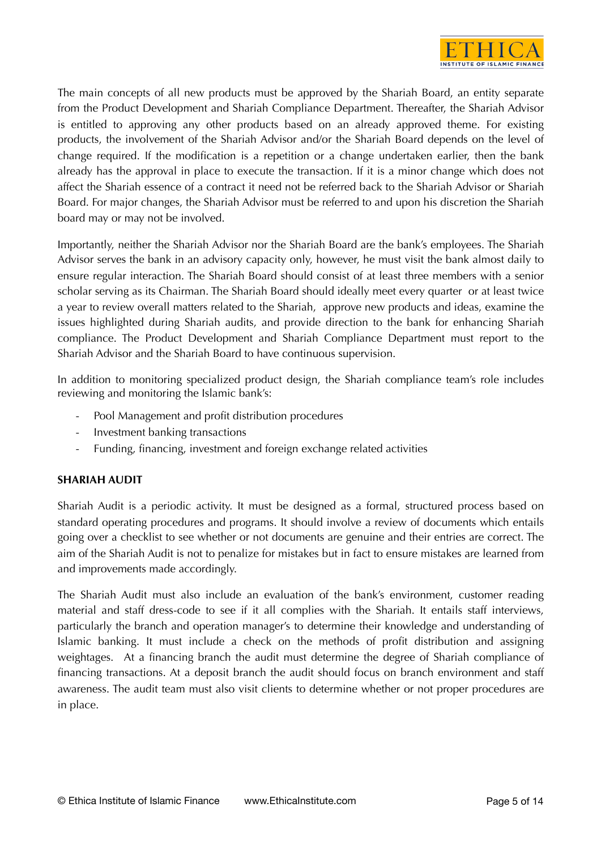

The main concepts of all new products must be approved by the Shariah Board, an entity separate from the Product Development and Shariah Compliance Department. Thereafter, the Shariah Advisor is entitled to approving any other products based on an already approved theme. For existing products, the involvement of the Shariah Advisor and/or the Shariah Board depends on the level of change required. If the modification is a repetition or a change undertaken earlier, then the bank already has the approval in place to execute the transaction. If it is a minor change which does not affect the Shariah essence of a contract it need not be referred back to the Shariah Advisor or Shariah Board. For major changes, the Shariah Advisor must be referred to and upon his discretion the Shariah board may or may not be involved.

Importantly, neither the Shariah Advisor nor the Shariah Board are the bank's employees. The Shariah Advisor serves the bank in an advisory capacity only, however, he must visit the bank almost daily to ensure regular interaction. The Shariah Board should consist of at least three members with a senior scholar serving as its Chairman. The Shariah Board should ideally meet every quarter or at least twice a year to review overall matters related to the Shariah, approve new products and ideas, examine the issues highlighted during Shariah audits, and provide direction to the bank for enhancing Shariah compliance. The Product Development and Shariah Compliance Department must report to the Shariah Advisor and the Shariah Board to have continuous supervision.

In addition to monitoring specialized product design, the Shariah compliance team's role includes reviewing and monitoring the Islamic bank's:

- Pool Management and profit distribution procedures
- Investment banking transactions
- Funding, financing, investment and foreign exchange related activities

# **SHARIAH AUDIT**

Shariah Audit is a periodic activity. It must be designed as a formal, structured process based on standard operating procedures and programs. It should involve a review of documents which entails going over a checklist to see whether or not documents are genuine and their entries are correct. The aim of the Shariah Audit is not to penalize for mistakes but in fact to ensure mistakes are learned from and improvements made accordingly.

The Shariah Audit must also include an evaluation of the bank's environment, customer reading material and staff dress-code to see if it all complies with the Shariah. It entails staff interviews, particularly the branch and operation manager's to determine their knowledge and understanding of Islamic banking. It must include a check on the methods of profit distribution and assigning weightages. At a financing branch the audit must determine the degree of Shariah compliance of financing transactions. At a deposit branch the audit should focus on branch environment and staff awareness. The audit team must also visit clients to determine whether or not proper procedures are in place.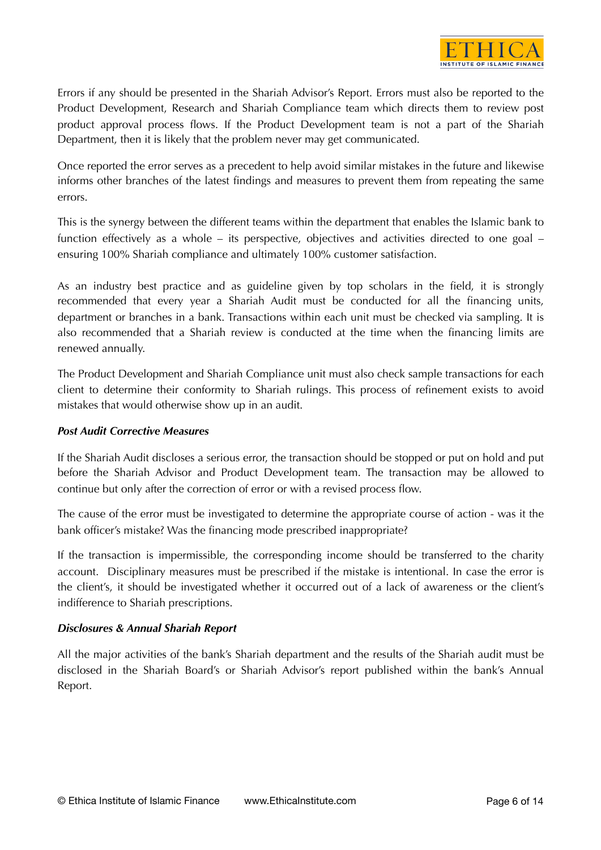

Errors if any should be presented in the Shariah Advisor's Report. Errors must also be reported to the Product Development, Research and Shariah Compliance team which directs them to review post product approval process flows. If the Product Development team is not a part of the Shariah Department, then it is likely that the problem never may get communicated.

Once reported the error serves as a precedent to help avoid similar mistakes in the future and likewise informs other branches of the latest findings and measures to prevent them from repeating the same errors.

This is the synergy between the different teams within the department that enables the Islamic bank to function effectively as a whole – its perspective, objectives and activities directed to one goal – ensuring 100% Shariah compliance and ultimately 100% customer satisfaction.

As an industry best practice and as guideline given by top scholars in the field, it is strongly recommended that every year a Shariah Audit must be conducted for all the financing units, department or branches in a bank. Transactions within each unit must be checked via sampling. It is also recommended that a Shariah review is conducted at the time when the financing limits are renewed annually.

The Product Development and Shariah Compliance unit must also check sample transactions for each client to determine their conformity to Shariah rulings. This process of refinement exists to avoid mistakes that would otherwise show up in an audit.

# *Post Audit Corrective Measures*

If the Shariah Audit discloses a serious error, the transaction should be stopped or put on hold and put before the Shariah Advisor and Product Development team. The transaction may be allowed to continue but only after the correction of error or with a revised process flow.

The cause of the error must be investigated to determine the appropriate course of action - was it the bank officer's mistake? Was the financing mode prescribed inappropriate?

If the transaction is impermissible, the corresponding income should be transferred to the charity account. Disciplinary measures must be prescribed if the mistake is intentional. In case the error is the client's, it should be investigated whether it occurred out of a lack of awareness or the client's indifference to Shariah prescriptions.

# *Disclosures & Annual Shariah Report*

All the major activities of the bank's Shariah department and the results of the Shariah audit must be disclosed in the Shariah Board's or Shariah Advisor's report published within the bank's Annual Report.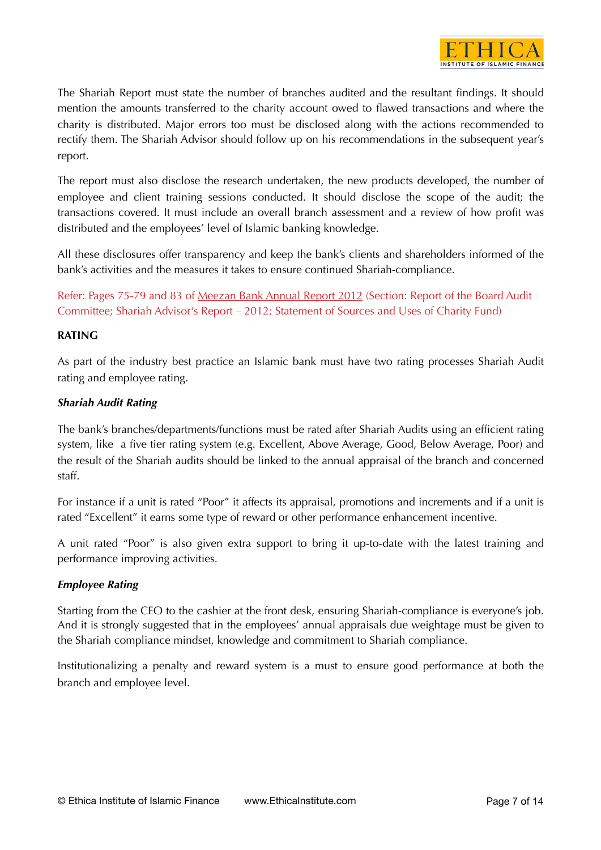

The Shariah Report must state the number of branches audited and the resultant findings. It should mention the amounts transferred to the charity account owed to flawed transactions and where the charity is distributed. Major errors too must be disclosed along with the actions recommended to rectify them. The Shariah Advisor should follow up on his recommendations in the subsequent year's report.

The report must also disclose the research undertaken, the new products developed, the number of employee and client training sessions conducted. It should disclose the scope of the audit; the transactions covered. It must include an overall branch assessment and a review of how profit was distributed and the employees' level of Islamic banking knowledge.

All these disclosures offer transparency and keep the bank's clients and shareholders informed of the bank's activities and the measures it takes to ensure continued Shariah-compliance.

Refer: Pages 75-79 and 83 of [Meezan Bank Annual Report 2012](http://www.meezanbank.c) (Section: Report of the Board Audit Committee; Shariah Advisor's Report – 2012; Statement of Sources and Uses of Charity Fund)

# **RATING**

As part of the industry best practice an Islamic bank must have two rating processes Shariah Audit rating and employee rating.

# *Shariah Audit Rating*

The bank's branches/departments/functions must be rated after Shariah Audits using an efficient rating system, like a five tier rating system (e.g. Excellent, Above Average, Good, Below Average, Poor) and the result of the Shariah audits should be linked to the annual appraisal of the branch and concerned staff.

For instance if a unit is rated "Poor" it affects its appraisal, promotions and increments and if a unit is rated "Excellent" it earns some type of reward or other performance enhancement incentive.

A unit rated "Poor" is also given extra support to bring it up-to-date with the latest training and performance improving activities.

# *Employee Rating*

Starting from the CEO to the cashier at the front desk, ensuring Shariah-compliance is everyone's job. And it is strongly suggested that in the employees' annual appraisals due weightage must be given to the Shariah compliance mindset, knowledge and commitment to Shariah compliance.

Institutionalizing a penalty and reward system is a must to ensure good performance at both the branch and employee level.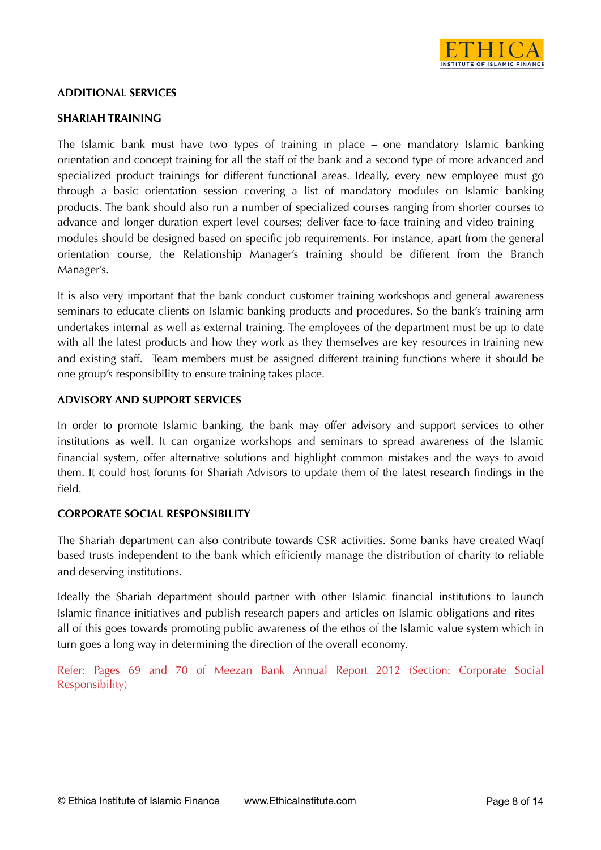

# **ADDITIONAL SERVICES**

#### **SHARIAH TRAINING**

The Islamic bank must have two types of training in place – one mandatory Islamic banking orientation and concept training for all the staff of the bank and a second type of more advanced and specialized product trainings for different functional areas. Ideally, every new employee must go through a basic orientation session covering a list of mandatory modules on Islamic banking products. The bank should also run a number of specialized courses ranging from shorter courses to advance and longer duration expert level courses; deliver face-to-face training and video training – modules should be designed based on specific job requirements. For instance, apart from the general orientation course, the Relationship Manager's training should be different from the Branch Manager's.

It is also very important that the bank conduct customer training workshops and general awareness seminars to educate clients on Islamic banking products and procedures. So the bank's training arm undertakes internal as well as external training. The employees of the department must be up to date with all the latest products and how they work as they themselves are key resources in training new and existing staff. Team members must be assigned different training functions where it should be one group's responsibility to ensure training takes place.

#### **ADVISORY AND SUPPORT SERVICES**

In order to promote Islamic banking, the bank may offer advisory and support services to other institutions as well. It can organize workshops and seminars to spread awareness of the Islamic financial system, offer alternative solutions and highlight common mistakes and the ways to avoid them. It could host forums for Shariah Advisors to update them of the latest research findings in the field.

# **CORPORATE SOCIAL RESPONSIBILITY**

The Shariah department can also contribute towards CSR activities. Some banks have created Waqf based trusts independent to the bank which efficiently manage the distribution of charity to reliable and deserving institutions.

Ideally the Shariah department should partner with other Islamic financial institutions to launch Islamic finance initiatives and publish research papers and articles on Islamic obligations and rites – all of this goes towards promoting public awareness of the ethos of the Islamic value system which in turn goes a long way in determining the direction of the overall economy.

Refer: Pages 69 and 70 of [Meezan Bank Annual Report 2012](http://www.meezanbank.com/docs/Annual_Report_2012.pdf) (Section: Corporate Social Responsibility)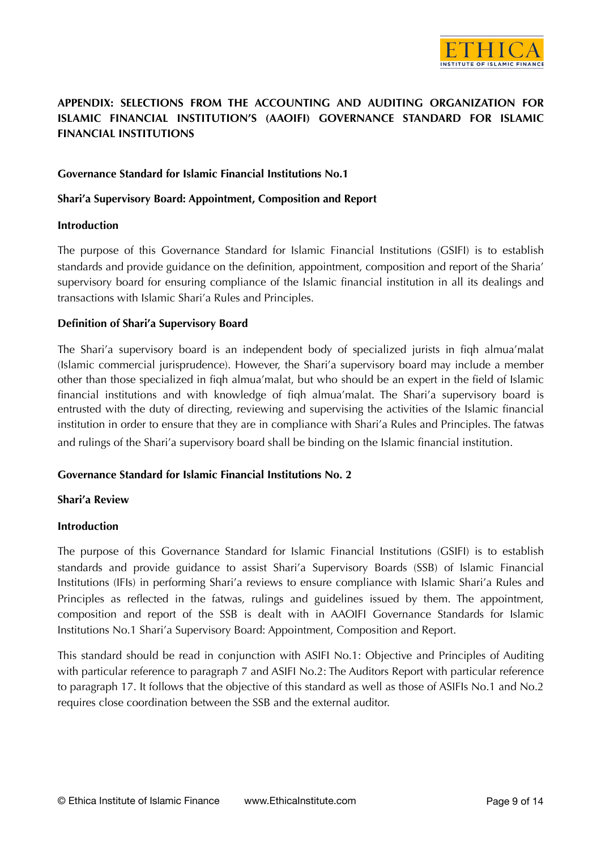

# **APPENDIX: SELECTIONS FROM THE ACCOUNTING AND AUDITING ORGANIZATION FOR ISLAMIC FINANCIAL INSTITUTION'S (AAOIFI) GOVERNANCE STANDARD FOR ISLAMIC FINANCIAL INSTITUTIONS**

# **Governance Standard for Islamic Financial Institutions No.1**

#### **Shari'a Supervisory Board: Appointment, Composition and Report**

#### **Introduction**

The purpose of this Governance Standard for Islamic Financial Institutions (GSIFI) is to establish standards and provide guidance on the definition, appointment, composition and report of the Sharia' supervisory board for ensuring compliance of the Islamic financial institution in all its dealings and transactions with Islamic Shari'a Rules and Principles.

#### **Definition of Shari'a Supervisory Board**

The Shari'a supervisory board is an independent body of specialized jurists in fiqh almua'malat (Islamic commercial jurisprudence). However, the Shari'a supervisory board may include a member other than those specialized in fiqh almua'malat, but who should be an expert in the field of Islamic financial institutions and with knowledge of fiqh almua'malat. The Shari'a supervisory board is entrusted with the duty of directing, reviewing and supervising the activities of the Islamic financial institution in order to ensure that they are in compliance with Shari'a Rules and Principles. The fatwas and rulings of the Shari'a supervisory board shall be binding on the Islamic financial institution.

# **Governance Standard for Islamic Financial Institutions No. 2**

#### **Shari'a Review**

#### **Introduction**

The purpose of this Governance Standard for Islamic Financial Institutions (GSIFI) is to establish standards and provide guidance to assist Shari'a Supervisory Boards (SSB) of Islamic Financial Institutions (IFIs) in performing Shari'a reviews to ensure compliance with Islamic Shari'a Rules and Principles as reflected in the fatwas, rulings and guidelines issued by them. The appointment, composition and report of the SSB is dealt with in AAOIFI Governance Standards for Islamic Institutions No.1 Shari'a Supervisory Board: Appointment, Composition and Report.

This standard should be read in conjunction with ASIFI No.1: Objective and Principles of Auditing with particular reference to paragraph 7 and ASIFI No.2: The Auditors Report with particular reference to paragraph 17. It follows that the objective of this standard as well as those of ASIFIs No.1 and No.2 requires close coordination between the SSB and the external auditor.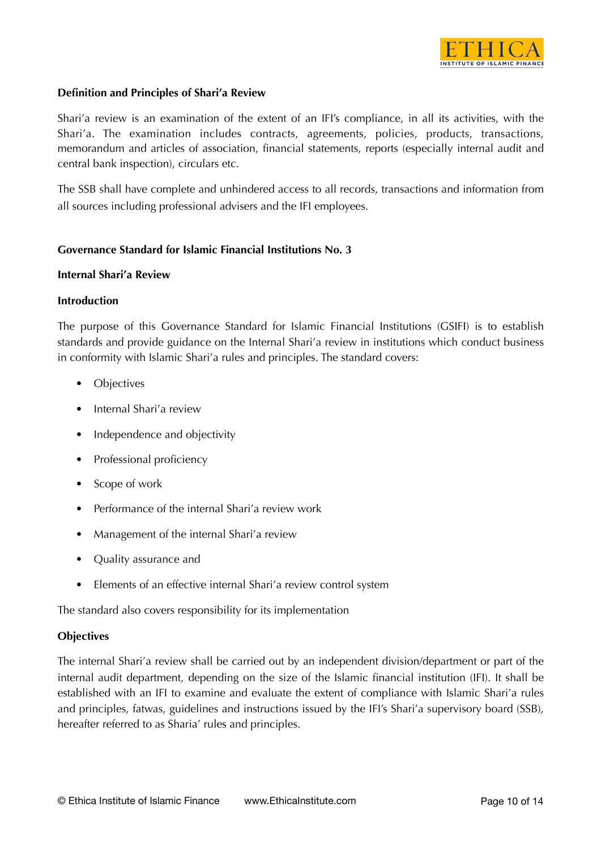

### **Definition and Principles of Shari'a Review**

Shari'a review is an examination of the extent of an IFI's compliance, in all its activities, with the Shari'a. The examination includes contracts, agreements, policies, products, transactions, memorandum and articles of association, financial statements, reports (especially internal audit and central bank inspection), circulars etc.

The SSB shall have complete and unhindered access to all records, transactions and information from all sources including professional advisers and the IFI employees.

#### **Governance Standard for Islamic Financial Institutions No. 3**

#### **Internal Shari'a Review**

#### **Introduction**

The purpose of this Governance Standard for Islamic Financial Institutions (GSIFI) is to establish standards and provide guidance on the Internal Shari'a review in institutions which conduct business in conformity with Islamic Shari'a rules and principles. The standard covers:

- **Objectives**
- Internal Shari's review
- Independence and objectivity
- Professional proficiency
- Scope of work
- Performance of the internal Shari'a review work
- Management of the internal Shari'a review
- Quality assurance and
- Elements of an effective internal Shari'a review control system

The standard also covers responsibility for its implementation

#### **Objectives**

The internal Shari'a review shall be carried out by an independent division/department or part of the internal audit department, depending on the size of the Islamic financial institution (IFI). It shall be established with an IFI to examine and evaluate the extent of compliance with Islamic Shari'a rules and principles, fatwas, guidelines and instructions issued by the IFI's Shari'a supervisory board (SSB), hereafter referred to as Sharia' rules and principles.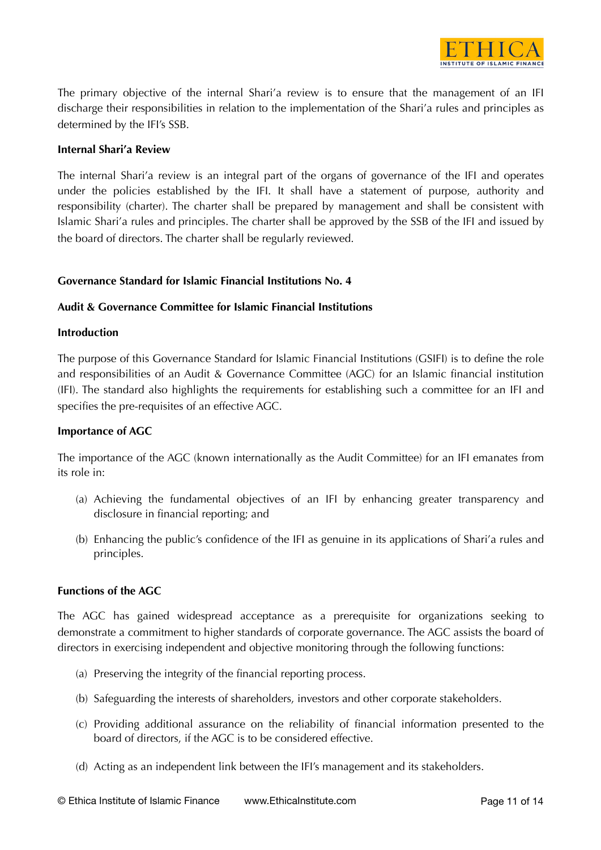

The primary objective of the internal Shari'a review is to ensure that the management of an IFI discharge their responsibilities in relation to the implementation of the Shari'a rules and principles as determined by the IFI's SSB.

### **Internal Shari'a Review**

The internal Shari'a review is an integral part of the organs of governance of the IFI and operates under the policies established by the IFI. It shall have a statement of purpose, authority and responsibility (charter). The charter shall be prepared by management and shall be consistent with Islamic Shari'a rules and principles. The charter shall be approved by the SSB of the IFI and issued by the board of directors. The charter shall be regularly reviewed.

#### **Governance Standard for Islamic Financial Institutions No. 4**

#### **Audit & Governance Committee for Islamic Financial Institutions**

#### **Introduction**

The purpose of this Governance Standard for Islamic Financial Institutions (GSIFI) is to define the role and responsibilities of an Audit & Governance Committee (AGC) for an Islamic financial institution (IFI). The standard also highlights the requirements for establishing such a committee for an IFI and specifies the pre-requisites of an effective AGC.

#### **Importance of AGC**

The importance of the AGC (known internationally as the Audit Committee) for an IFI emanates from its role in:

- (a) Achieving the fundamental objectives of an IFI by enhancing greater transparency and disclosure in financial reporting; and
- (b) Enhancing the public's confidence of the IFI as genuine in its applications of Shari'a rules and principles.

#### **Functions of the AGC**

The AGC has gained widespread acceptance as a prerequisite for organizations seeking to demonstrate a commitment to higher standards of corporate governance. The AGC assists the board of directors in exercising independent and objective monitoring through the following functions:

- (a) Preserving the integrity of the financial reporting process.
- (b) Safeguarding the interests of shareholders, investors and other corporate stakeholders.
- (c) Providing additional assurance on the reliability of financial information presented to the board of directors, if the AGC is to be considered effective.
- (d) Acting as an independent link between the IFI's management and its stakeholders.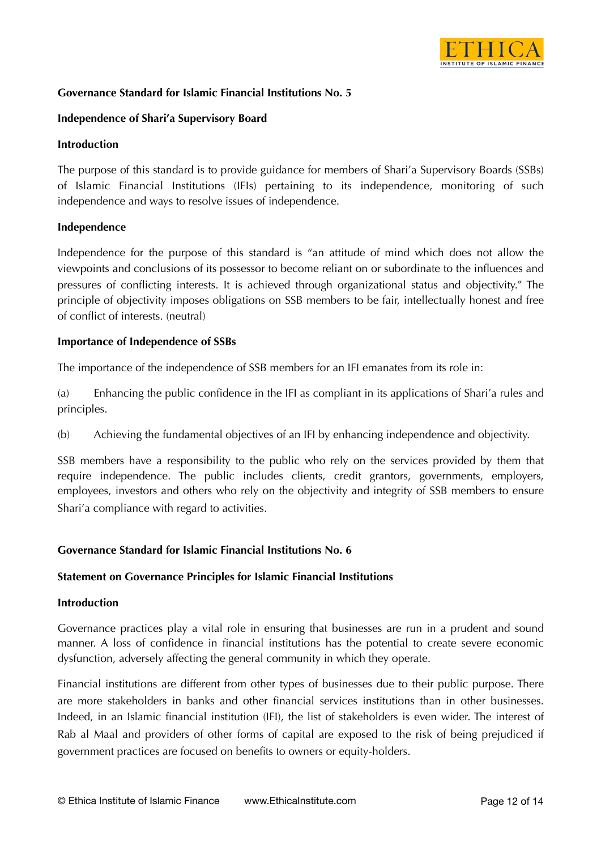

# **Governance Standard for Islamic Financial Institutions No. 5**

### **Independence of Shari'a Supervisory Board**

#### **Introduction**

The purpose of this standard is to provide guidance for members of Shari'a Supervisory Boards (SSBs) of Islamic Financial Institutions (IFIs) pertaining to its independence, monitoring of such independence and ways to resolve issues of independence.

#### **Independence**

Independence for the purpose of this standard is "an attitude of mind which does not allow the viewpoints and conclusions of its possessor to become reliant on or subordinate to the influences and pressures of conflicting interests. It is achieved through organizational status and objectivity." The principle of objectivity imposes obligations on SSB members to be fair, intellectually honest and free of conflict of interests. (neutral)

#### **Importance of Independence of SSBs**

The importance of the independence of SSB members for an IFI emanates from its role in:

(a) Enhancing the public confidence in the IFI as compliant in its applications of Shari'a rules and principles.

(b) Achieving the fundamental objectives of an IFI by enhancing independence and objectivity.

SSB members have a responsibility to the public who rely on the services provided by them that require independence. The public includes clients, credit grantors, governments, employers, employees, investors and others who rely on the objectivity and integrity of SSB members to ensure Shari'a compliance with regard to activities.

# **Governance Standard for Islamic Financial Institutions No. 6**

#### **Statement on Governance Principles for Islamic Financial Institutions**

#### **Introduction**

Governance practices play a vital role in ensuring that businesses are run in a prudent and sound manner. A loss of confidence in financial institutions has the potential to create severe economic dysfunction, adversely affecting the general community in which they operate.

Financial institutions are different from other types of businesses due to their public purpose. There are more stakeholders in banks and other financial services institutions than in other businesses. Indeed, in an Islamic financial institution (IFI), the list of stakeholders is even wider. The interest of Rab al Maal and providers of other forms of capital are exposed to the risk of being prejudiced if government practices are focused on benefits to owners or equity-holders.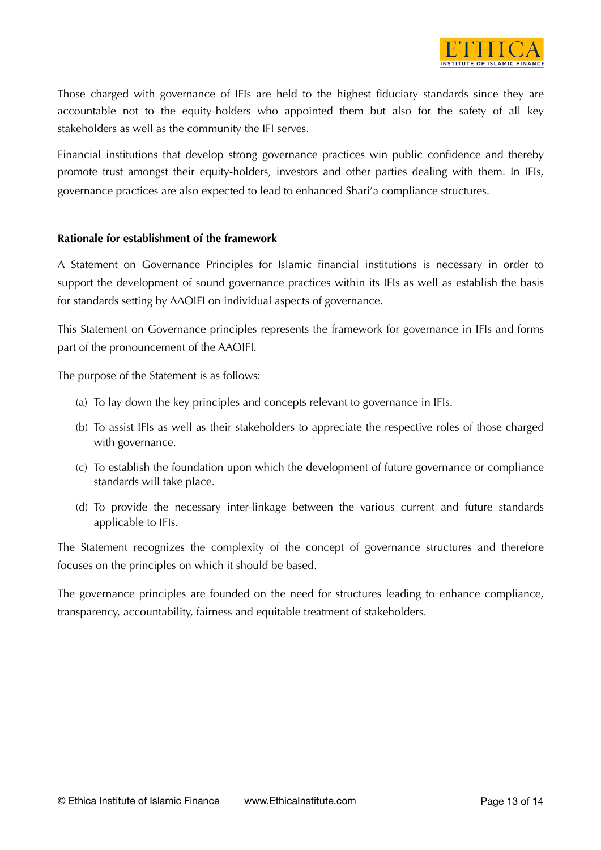

Those charged with governance of IFIs are held to the highest fiduciary standards since they are accountable not to the equity-holders who appointed them but also for the safety of all key stakeholders as well as the community the IFI serves.

Financial institutions that develop strong governance practices win public confidence and thereby promote trust amongst their equity-holders, investors and other parties dealing with them. In IFIs, governance practices are also expected to lead to enhanced Shari'a compliance structures.

# **Rationale for establishment of the framework**

A Statement on Governance Principles for Islamic financial institutions is necessary in order to support the development of sound governance practices within its IFIs as well as establish the basis for standards setting by AAOIFI on individual aspects of governance.

This Statement on Governance principles represents the framework for governance in IFIs and forms part of the pronouncement of the AAOIFI.

The purpose of the Statement is as follows:

- (a) To lay down the key principles and concepts relevant to governance in IFIs.
- (b) To assist IFIs as well as their stakeholders to appreciate the respective roles of those charged with governance.
- (c) To establish the foundation upon which the development of future governance or compliance standards will take place.
- (d) To provide the necessary inter-linkage between the various current and future standards applicable to IFIs.

The Statement recognizes the complexity of the concept of governance structures and therefore focuses on the principles on which it should be based.

The governance principles are founded on the need for structures leading to enhance compliance, transparency, accountability, fairness and equitable treatment of stakeholders.